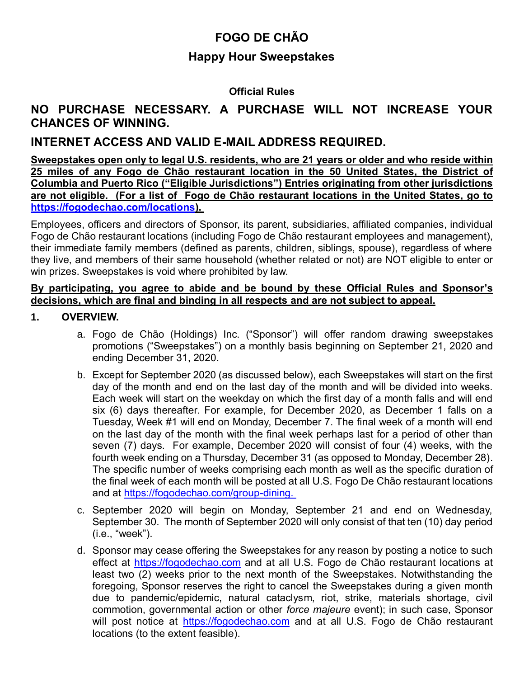# **FOGO DE CHÃO**

## **Happy Hour Sweepstakes**

#### **Official Rules**

# **NO PURCHASE NECESSARY. A PURCHASE WILL NOT INCREASE YOUR CHANCES OF WINNING.**

## **INTERNET ACCESS AND VALID E-MAIL ADDRESS REQUIRED.**

**Sweepstakes open only to legal U.S. residents, who are 21 years or older and who reside within 25 miles of any Fogo de Chão restaurant location in the 50 United States, the District of Columbia and Puerto Rico ("Eligible Jurisdictions") Entries originating from other jurisdictions are not eligible. (For a list of Fogo de Chão restaurant locations in the United States, go to [https://fogodechao.com/locations\)](https://fogodechao.com/locations).** 

Employees, officers and directors of Sponsor, its parent, subsidiaries, affiliated companies, individual Fogo de Chão restaurant locations (including Fogo de Chão restaurant employees and management), their immediate family members (defined as parents, children, siblings, spouse), regardless of where they live, and members of their same household (whether related or not) are NOT eligible to enter or win prizes. Sweepstakes is void where prohibited by law.

#### **By participating, you agree to abide and be bound by these Official Rules and Sponsor's decisions, which are final and binding in all respects and are not subject to appeal.**

#### **1. OVERVIEW.**

- a. Fogo de Chão (Holdings) Inc. ("Sponsor") will offer random drawing sweepstakes promotions ("Sweepstakes") on a monthly basis beginning on September 21, 2020 and ending December 31, 2020.
- b. Except for September 2020 (as discussed below), each Sweepstakes will start on the first day of the month and end on the last day of the month and will be divided into weeks. Each week will start on the weekday on which the first day of a month falls and will end six (6) days thereafter. For example, for December 2020, as December 1 falls on a Tuesday, Week #1 will end on Monday, December 7. The final week of a month will end on the last day of the month with the final week perhaps last for a period of other than seven (7) days. For example, December 2020 will consist of four (4) weeks, with the fourth week ending on a Thursday, December 31 (as opposed to Monday, December 28). The specific number of weeks comprising each month as well as the specific duration of the final week of each month will be posted at all U.S. Fogo De Chão restaurant locations and at [https://fogodechao.com/group-dining.](https://fogodechao.com/group-dining)
- c. September 2020 will begin on Monday, September 21 and end on Wednesday, September 30. The month of September 2020 will only consist of that ten (10) day period (i.e., "week").
- d. Sponsor may cease offering the Sweepstakes for any reason by posting a notice to such effect at [https://fogodechao.com](https://fogodechao.com/) and at all U.S. Fogo de Chão restaurant locations at least two (2) weeks prior to the next month of the Sweepstakes. Notwithstanding the foregoing, Sponsor reserves the right to cancel the Sweepstakes during a given month due to pandemic/epidemic, natural cataclysm, riot, strike, materials shortage, civil commotion, governmental action or other *force majeure* event); in such case, Sponsor will post notice at [https://fogodechao.com](https://fogodechao.com/) and at all U.S. Fogo de Chão restaurant locations (to the extent feasible).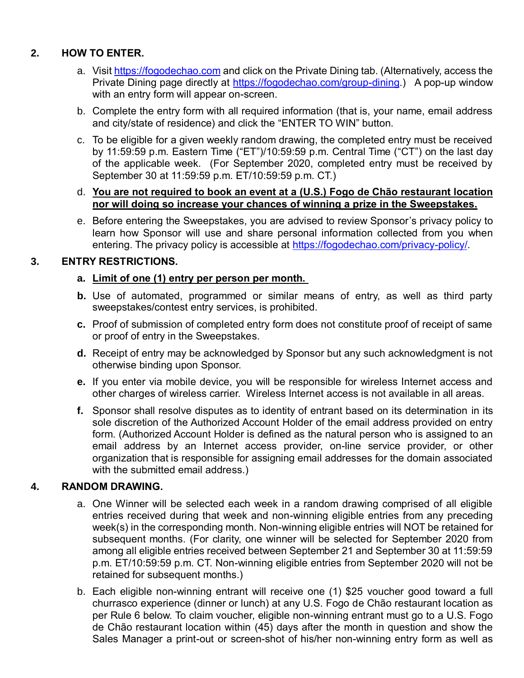## **2. HOW TO ENTER.**

- a. Visit [https://fogodechao.com](https://fogodechao.com/) and click on the Private Dining tab. (Alternatively, access the Private Dining page directly at [https://fogodechao.com/group-dining.](https://fogodechao.com/group-dining)) A pop-up window with an entry form will appear on-screen.
- b. Complete the entry form with all required information (that is, your name, email address and city/state of residence) and click the "ENTER TO WIN" button.
- c. To be eligible for a given weekly random drawing, the completed entry must be received by 11:59:59 p.m. Eastern Time ("ET")/10:59:59 p.m. Central Time ("CT") on the last day of the applicable week. (For September 2020, completed entry must be received by September 30 at 11:59:59 p.m. ET/10:59:59 p.m. CT.)

#### d. **You are not required to book an event at a (U.S.) Fogo de Chão restaurant location nor will doing so increase your chances of winning a prize in the Sweepstakes.**

e. Before entering the Sweepstakes, you are advised to review Sponsor's privacy policy to learn how Sponsor will use and share personal information collected from you when entering. The privacy policy is accessible at [https://fogodechao.com/privacy-policy/.](https://fogodechao.com/privacy-policy/)

### **3. ENTRY RESTRICTIONS.**

#### **a. Limit of one (1) entry per person per month.**

- **b.** Use of automated, programmed or similar means of entry, as well as third party sweepstakes/contest entry services, is prohibited.
- **c.** Proof of submission of completed entry form does not constitute proof of receipt of same or proof of entry in the Sweepstakes.
- **d.** Receipt of entry may be acknowledged by Sponsor but any such acknowledgment is not otherwise binding upon Sponsor.
- **e.** If you enter via mobile device, you will be responsible for wireless Internet access and other charges of wireless carrier. Wireless Internet access is not available in all areas.
- **f.** Sponsor shall resolve disputes as to identity of entrant based on its determination in its sole discretion of the Authorized Account Holder of the email address provided on entry form. (Authorized Account Holder is defined as the natural person who is assigned to an email address by an Internet access provider, on-line service provider, or other organization that is responsible for assigning email addresses for the domain associated with the submitted email address.)

#### **4. RANDOM DRAWING.**

- a. One Winner will be selected each week in a random drawing comprised of all eligible entries received during that week and non-winning eligible entries from any preceding week(s) in the corresponding month. Non-winning eligible entries will NOT be retained for subsequent months. (For clarity, one winner will be selected for September 2020 from among all eligible entries received between September 21 and September 30 at 11:59:59 p.m. ET/10:59:59 p.m. CT. Non-winning eligible entries from September 2020 will not be retained for subsequent months.)
- b. Each eligible non-winning entrant will receive one (1) \$25 voucher good toward a full churrasco experience (dinner or lunch) at any U.S. Fogo de Chão restaurant location as per Rule 6 below. To claim voucher, eligible non-winning entrant must go to a U.S. Fogo de Chão restaurant location within (45) days after the month in question and show the Sales Manager a print-out or screen-shot of his/her non-winning entry form as well as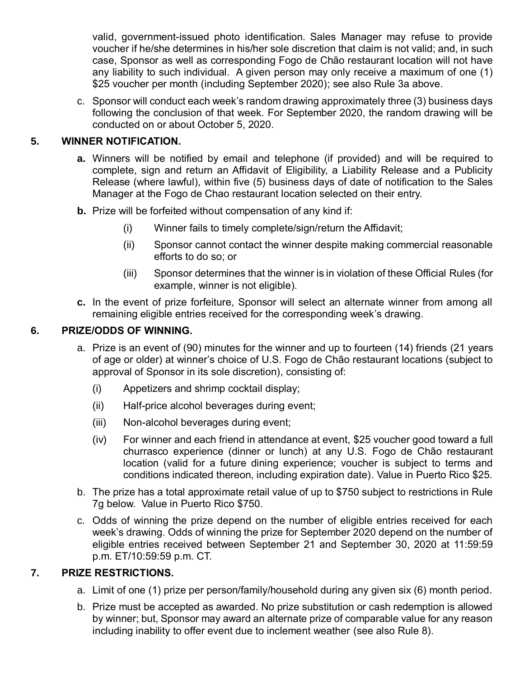valid, government-issued photo identification. Sales Manager may refuse to provide voucher if he/she determines in his/her sole discretion that claim is not valid; and, in such case, Sponsor as well as corresponding Fogo de Chão restaurant location will not have any liability to such individual. A given person may only receive a maximum of one (1) \$25 voucher per month (including September 2020); see also Rule 3a above.

c. Sponsor will conduct each week's random drawing approximately three (3) business days following the conclusion of that week. For September 2020, the random drawing will be conducted on or about October 5, 2020.

### **5. WINNER NOTIFICATION.**

- **a.** Winners will be notified by email and telephone (if provided) and will be required to complete, sign and return an Affidavit of Eligibility, a Liability Release and a Publicity Release (where lawful), within five (5) business days of date of notification to the Sales Manager at the Fogo de Chao restaurant location selected on their entry.
- **b.** Prize will be forfeited without compensation of any kind if:
	- (i) Winner fails to timely complete/sign/return the Affidavit;
	- (ii) Sponsor cannot contact the winner despite making commercial reasonable efforts to do so; or
	- (iii) Sponsor determines that the winner is in violation of these Official Rules (for example, winner is not eligible).
- **c.** In the event of prize forfeiture, Sponsor will select an alternate winner from among all remaining eligible entries received for the corresponding week's drawing.

#### **6. PRIZE/ODDS OF WINNING.**

- a. Prize is an event of (90) minutes for the winner and up to fourteen (14) friends (21 years of age or older) at winner's choice of U.S. Fogo de Chão restaurant locations (subject to approval of Sponsor in its sole discretion), consisting of:
	- (i) Appetizers and shrimp cocktail display;
	- (ii) Half-price alcohol beverages during event;
	- (iii) Non-alcohol beverages during event;
	- (iv) For winner and each friend in attendance at event, \$25 voucher good toward a full churrasco experience (dinner or lunch) at any U.S. Fogo de Chão restaurant location (valid for a future dining experience; voucher is subject to terms and conditions indicated thereon, including expiration date). Value in Puerto Rico \$25.
- b. The prize has a total approximate retail value of up to \$750 subject to restrictions in Rule 7g below. Value in Puerto Rico \$750.
- c. Odds of winning the prize depend on the number of eligible entries received for each week's drawing. Odds of winning the prize for September 2020 depend on the number of eligible entries received between September 21 and September 30, 2020 at 11:59:59 p.m. ET/10:59:59 p.m. CT.

#### **7. PRIZE RESTRICTIONS.**

- a. Limit of one (1) prize per person/family/household during any given six (6) month period.
- b. Prize must be accepted as awarded. No prize substitution or cash redemption is allowed by winner; but, Sponsor may award an alternate prize of comparable value for any reason including inability to offer event due to inclement weather (see also Rule 8).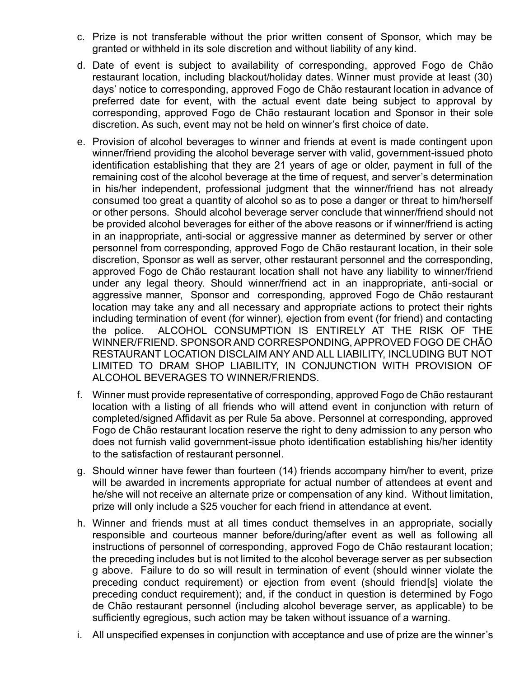- c. Prize is not transferable without the prior written consent of Sponsor, which may be granted or withheld in its sole discretion and without liability of any kind.
- d. Date of event is subject to availability of corresponding, approved Fogo de Chão restaurant location, including blackout/holiday dates. Winner must provide at least (30) days' notice to corresponding, approved Fogo de Chão restaurant location in advance of preferred date for event, with the actual event date being subject to approval by corresponding, approved Fogo de Chão restaurant location and Sponsor in their sole discretion. As such, event may not be held on winner's first choice of date.
- e. Provision of alcohol beverages to winner and friends at event is made contingent upon winner/friend providing the alcohol beverage server with valid, government-issued photo identification establishing that they are 21 years of age or older, payment in full of the remaining cost of the alcohol beverage at the time of request, and server's determination in his/her independent, professional judgment that the winner/friend has not already consumed too great a quantity of alcohol so as to pose a danger or threat to him/herself or other persons. Should alcohol beverage server conclude that winner/friend should not be provided alcohol beverages for either of the above reasons or if winner/friend is acting in an inappropriate, anti-social or aggressive manner as determined by server or other personnel from corresponding, approved Fogo de Chão restaurant location, in their sole discretion, Sponsor as well as server, other restaurant personnel and the corresponding, approved Fogo de Chão restaurant location shall not have any liability to winner/friend under any legal theory. Should winner/friend act in an inappropriate, anti-social or aggressive manner, Sponsor and corresponding, approved Fogo de Chão restaurant location may take any and all necessary and appropriate actions to protect their rights including termination of event (for winner), ejection from event (for friend) and contacting the police. ALCOHOL CONSUMPTION IS ENTIRELY AT THE RISK OF THE WINNER/FRIEND. SPONSOR AND CORRESPONDING, APPROVED FOGO DE CHÃO RESTAURANT LOCATION DISCLAIM ANY AND ALL LIABILITY, INCLUDING BUT NOT LIMITED TO DRAM SHOP LIABILITY, IN CONJUNCTION WITH PROVISION OF ALCOHOL BEVERAGES TO WINNER/FRIENDS.
- f. Winner must provide representative of corresponding, approved Fogo de Chão restaurant location with a listing of all friends who will attend event in conjunction with return of completed/signed Affidavit as per Rule 5a above. Personnel at corresponding, approved Fogo de Chão restaurant location reserve the right to deny admission to any person who does not furnish valid government-issue photo identification establishing his/her identity to the satisfaction of restaurant personnel.
- g. Should winner have fewer than fourteen (14) friends accompany him/her to event, prize will be awarded in increments appropriate for actual number of attendees at event and he/she will not receive an alternate prize or compensation of any kind. Without limitation, prize will only include a \$25 voucher for each friend in attendance at event.
- h. Winner and friends must at all times conduct themselves in an appropriate, socially responsible and courteous manner before/during/after event as well as following all instructions of personnel of corresponding, approved Fogo de Chão restaurant location; the preceding includes but is not limited to the alcohol beverage server as per subsection g above. Failure to do so will result in termination of event (should winner violate the preceding conduct requirement) or ejection from event (should friend[s] violate the preceding conduct requirement); and, if the conduct in question is determined by Fogo de Chão restaurant personnel (including alcohol beverage server, as applicable) to be sufficiently egregious, such action may be taken without issuance of a warning.
- i. All unspecified expenses in conjunction with acceptance and use of prize are the winner's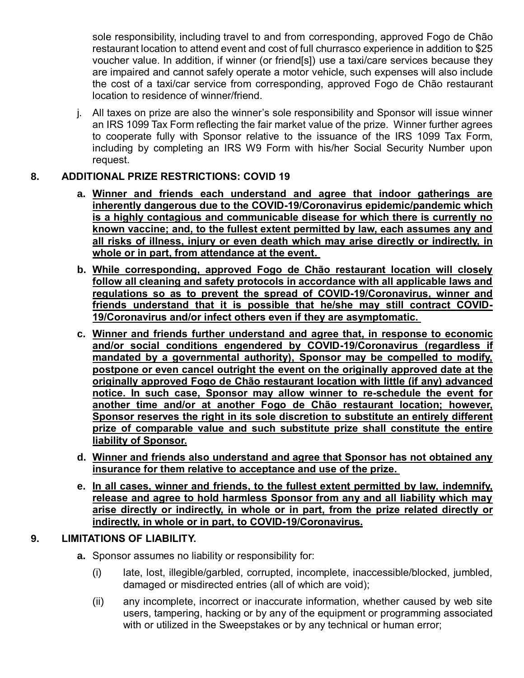sole responsibility, including travel to and from corresponding, approved Fogo de Chão restaurant location to attend event and cost of full churrasco experience in addition to \$25 voucher value. In addition, if winner (or friend[s]) use a taxi/care services because they are impaired and cannot safely operate a motor vehicle, such expenses will also include the cost of a taxi/car service from corresponding, approved Fogo de Chão restaurant location to residence of winner/friend.

j. All taxes on prize are also the winner's sole responsibility and Sponsor will issue winner an IRS 1099 Tax Form reflecting the fair market value of the prize. Winner further agrees to cooperate fully with Sponsor relative to the issuance of the IRS 1099 Tax Form, including by completing an IRS W9 Form with his/her Social Security Number upon request.

### **8. ADDITIONAL PRIZE RESTRICTIONS: COVID 19**

- **a. Winner and friends each understand and agree that indoor gatherings are inherently dangerous due to the COVID-19/Coronavirus epidemic/pandemic which is a highly contagious and communicable disease for which there is currently no known vaccine; and, to the fullest extent permitted by law, each assumes any and all risks of illness, injury or even death which may arise directly or indirectly, in whole or in part, from attendance at the event.**
- **b. While corresponding, approved Fogo de Chão restaurant location will closely follow all cleaning and safety protocols in accordance with all applicable laws and regulations so as to prevent the spread of COVID-19/Coronavirus, winner and friends understand that it is possible that he/she may still contract COVID-19/Coronavirus and/or infect others even if they are asymptomatic.**
- **c. Winner and friends further understand and agree that, in response to economic and/or social conditions engendered by COVID-19/Coronavirus (regardless if mandated by a governmental authority), Sponsor may be compelled to modify, postpone or even cancel outright the event on the originally approved date at the originally approved Fogo de Chão restaurant location with little (if any) advanced notice. In such case, Sponsor may allow winner to re-schedule the event for another time and/or at another Fogo de Chão restaurant location; however, Sponsor reserves the right in its sole discretion to substitute an entirely different prize of comparable value and such substitute prize shall constitute the entire liability of Sponsor.**
- **d. Winner and friends also understand and agree that Sponsor has not obtained any insurance for them relative to acceptance and use of the prize.**
- **e. In all cases, winner and friends, to the fullest extent permitted by law, indemnify, release and agree to hold harmless Sponsor from any and all liability which may arise directly or indirectly, in whole or in part, from the prize related directly or indirectly, in whole or in part, to COVID-19/Coronavirus.**

### **9. LIMITATIONS OF LIABILITY.**

- **a.** Sponsor assumes no liability or responsibility for:
	- (i) late, lost, illegible/garbled, corrupted, incomplete, inaccessible/blocked, jumbled, damaged or misdirected entries (all of which are void);
	- (ii) any incomplete, incorrect or inaccurate information, whether caused by web site users, tampering, hacking or by any of the equipment or programming associated with or utilized in the Sweepstakes or by any technical or human error;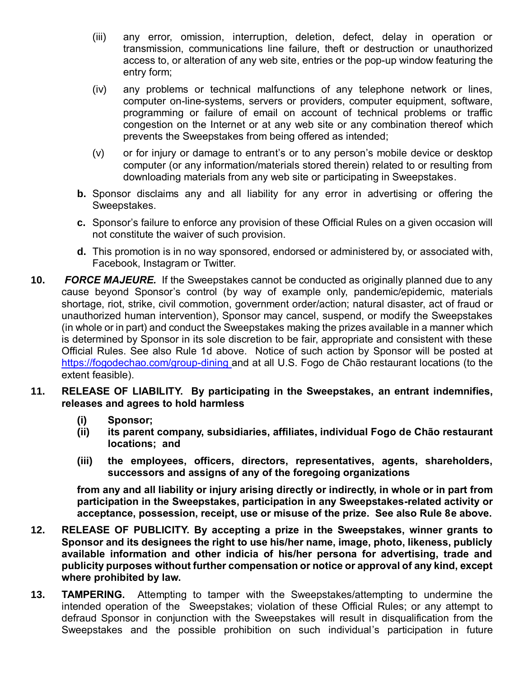- (iii) any error, omission, interruption, deletion, defect, delay in operation or transmission, communications line failure, theft or destruction or unauthorized access to, or alteration of any web site, entries or the pop-up window featuring the entry form;
- (iv) any problems or technical malfunctions of any telephone network or lines, computer on-line-systems, servers or providers, computer equipment, software, programming or failure of email on account of technical problems or traffic congestion on the Internet or at any web site or any combination thereof which prevents the Sweepstakes from being offered as intended;
- (v) or for injury or damage to entrant's or to any person's mobile device or desktop computer (or any information/materials stored therein) related to or resulting from downloading materials from any web site or participating in Sweepstakes.
- **b.** Sponsor disclaims any and all liability for any error in advertising or offering the Sweepstakes.
- **c.** Sponsor's failure to enforce any provision of these Official Rules on a given occasion will not constitute the waiver of such provision.
- **d.** This promotion is in no way sponsored, endorsed or administered by, or associated with, Facebook, Instagram or Twitter.
- **10.** *FORCE MAJEURE.* If the Sweepstakes cannot be conducted as originally planned due to any cause beyond Sponsor's control (by way of example only, pandemic/epidemic, materials shortage, riot, strike, civil commotion, government order/action; natural disaster, act of fraud or unauthorized human intervention), Sponsor may cancel, suspend, or modify the Sweepstakes (in whole or in part) and conduct the Sweepstakes making the prizes available in a manner which is determined by Sponsor in its sole discretion to be fair, appropriate and consistent with these Official Rules. See also Rule 1d above. Notice of such action by Sponsor will be posted at <https://fogodechao.com/group-dining> and at all U.S. Fogo de Chão restaurant locations (to the extent feasible).
- **11. RELEASE OF LIABILITY. By participating in the Sweepstakes, an entrant indemnifies, releases and agrees to hold harmless** 
	- **(i) Sponsor;**
	- **(ii) its parent company, subsidiaries, affiliates, individual Fogo de Chão restaurant locations; and**
	- **(iii) the employees, officers, directors, representatives, agents, shareholders, successors and assigns of any of the foregoing organizations**

**from any and all liability or injury arising directly or indirectly, in whole or in part from participation in the Sweepstakes, participation in any Sweepstakes-related activity or acceptance, possession, receipt, use or misuse of the prize. See also Rule 8e above.**

- **12. RELEASE OF PUBLICITY. By accepting a prize in the Sweepstakes, winner grants to Sponsor and its designees the right to use his/her name, image, photo, likeness, publicly available information and other indicia of his/her persona for advertising, trade and publicity purposes without further compensation or notice or approval of any kind, except where prohibited by law.**
- **13. TAMPERING.** Attempting to tamper with the Sweepstakes/attempting to undermine the intended operation of the Sweepstakes; violation of these Official Rules; or any attempt to defraud Sponsor in conjunction with the Sweepstakes will result in disqualification from the Sweepstakes and the possible prohibition on such individual's participation in future